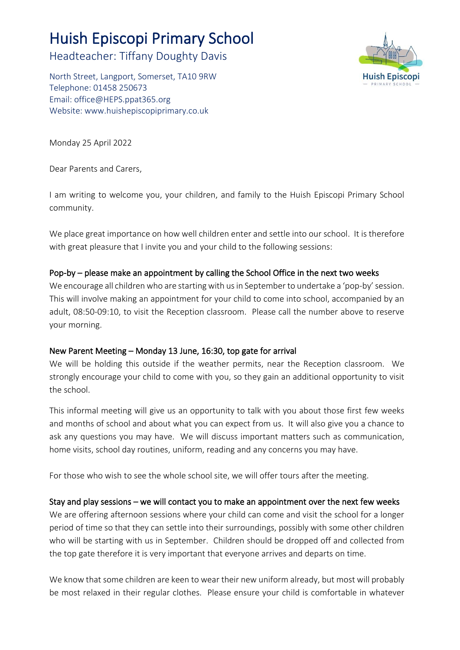# Huish Episcopi Primary School

Headteacher: Tiffany Doughty Davis

North Street, Langport, Somerset, TA10 9RW Telephone: 01458 250673 Email: [office@HEPS.ppat365.org](mailto:office@HEPS.ppat365.org) Website: [www.huishepiscopiprimary.co.uk](http://www.huishepiscopiprimary.co.uk/)



Monday 25 April 2022

Dear Parents and Carers,

I am writing to welcome you, your children, and family to the Huish Episcopi Primary School community.

We place great importance on how well children enter and settle into our school. It is therefore with great pleasure that I invite you and your child to the following sessions:

### Pop-by – please make an appointment by calling the School Office in the next two weeks

We encourage all children who are starting with us in September to undertake a 'pop-by' session. This will involve making an appointment for your child to come into school, accompanied by an adult, 08:50-09:10, to visit the Reception classroom. Please call the number above to reserve your morning.

#### New Parent Meeting – Monday 13 June, 16:30, top gate for arrival

We will be holding this outside if the weather permits, near the Reception classroom. We strongly encourage your child to come with you, so they gain an additional opportunity to visit the school.

This informal meeting will give us an opportunity to talk with you about those first few weeks and months of school and about what you can expect from us. It will also give you a chance to ask any questions you may have. We will discuss important matters such as communication, home visits, school day routines, uniform, reading and any concerns you may have.

For those who wish to see the whole school site, we will offer tours after the meeting.

## Stay and play sessions – we will contact you to make an appointment over the next few weeks

We are offering afternoon sessions where your child can come and visit the school for a longer period of time so that they can settle into their surroundings, possibly with some other children who will be starting with us in September. Children should be dropped off and collected from the top gate therefore it is very important that everyone arrives and departs on time.

We know that some children are keen to wear their new uniform already, but most will probably be most relaxed in their regular clothes. Please ensure your child is comfortable in whatever